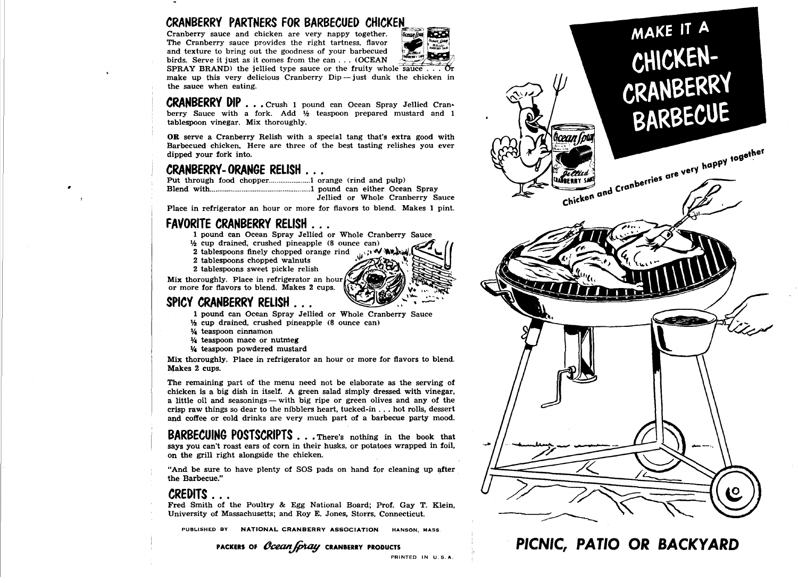## **CRANBERRY PARTNERS FOR BARBECUED CHICKEN**

Cranberry sauce and chicken are very happy together. The Cranberry sauce provides the right tartness, flavor and texture to bring out the goodness of your barbecued birds. Serve it just as it comes from the can  $\dots$  (OCEAN



SPRAY BRAND) the jellied type sauce or the fruity whole sauce  $\ldots$ make up this very delicious Cranberry  $Dip$  - just dunk the chicken in the sauce when eating.

**CRANBERRY DIP .** .. Crush 1 pound can Ocean Spray Jellied Cranberry Sauce with a fork. Add  $\frac{1}{2}$  teaspoon prepared mustard and 1 tablespoon vinegar. Mix thoroughly.

**OR** serve a Cranberry Relish with a special tang that's extra good with Barbecued chicken. Here are three of the best tasting relishes you ever dipped your fork into.

..

**CRANBERRY-ORANGE RELISH** .. . Put through food chopper ...................... l orange (rind and pulp) Blend with ...................................................... 1 pound can either Ocean Spray Jellied or Whole Cranberry Sauce

Place in refrigerator an hour or more for flavors to blend. Makes 1 pint.

# **FAVORITE CRANBERRY RELISH ...**<br>1 pound can Ocean Spray Jellied or Whole Cranberry Sauce

- 
- $\frac{1}{2}$  cup drained, crushed pineapple (8 ounce can)
- 2 tablespoons finely chopped orange rind  $\mathbb{R}^n$
- 2 tablespoons chopped walnuts
- 2 tablespoons sweet pickle relish

Mix thoroughly. Place in refrigerator an hour or more for flavors to blend. Makes 2 cups.

- **SPICY CRANBERRY RELISH** . . . 1 pound can Ocean Spray Jellied or Whole Cranberry Sauce
	- $\frac{1}{2}$  cup drained, crushed pineapple (8 ounce can)
	- 1f4 teaspoon cinnamon
	- 1f4 teaspoon mace or nutmeg
	- 1f4 teaspoon powdered mustard

Mix thoroughly. Place in refrigerator an hour or more for flavors to blend. Makes 2 cups.

The remaining part of the menu need not be elaborate as the serving of chicken is a big dish in itself. A green salad simply dressed with vinegar, a little oil and seasonings — with big ripe or green olives and any of the crisp raw things so dear to the nibblers heart, tucked-in ... hot rolls, dessert and coffee or cold drinks are very much part of a barbecue party mood.

**BARBECUING POSTSCRIPTS** . . . There's nothing in the book that says you can't roast ears of corn in their husks, or potatoes wrapped in foil. on the grill right alongside the chicken.

"And be sure to have plenty of SOS pads on hand for cleaning up after the Barbecue."

**CREDITS .** .. Fred Smith of the Poultry & Egg National Board; Prof. Gay T. Klein, University of Massachusetts; and Roy E. Jones, Storrs, Connecticut.

PUBLISHED BY NATIONAL CRANBERRY ASSOCIATION HANSON. MASS.

PACKERS OF *Ocean (pray* CRANBERRY PRODUCTS



**PICNIC, PATIO OR BACKYARD**